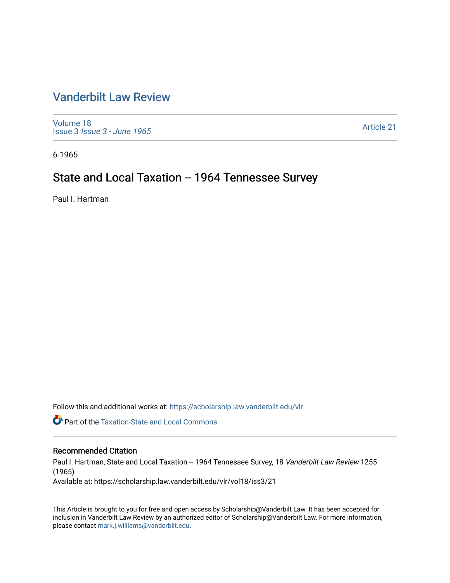# [Vanderbilt Law Review](https://scholarship.law.vanderbilt.edu/vlr)

[Volume 18](https://scholarship.law.vanderbilt.edu/vlr/vol18) Issue 3 [Issue 3 - June 1965](https://scholarship.law.vanderbilt.edu/vlr/vol18/iss3) 

[Article 21](https://scholarship.law.vanderbilt.edu/vlr/vol18/iss3/21) 

6-1965

## State and Local Taxation -- 1964 Tennessee Survey

Paul I. Hartman

Follow this and additional works at: [https://scholarship.law.vanderbilt.edu/vlr](https://scholarship.law.vanderbilt.edu/vlr?utm_source=scholarship.law.vanderbilt.edu%2Fvlr%2Fvol18%2Fiss3%2F21&utm_medium=PDF&utm_campaign=PDFCoverPages)

**Part of the Taxation-State and Local Commons** 

### Recommended Citation

Paul I. Hartman, State and Local Taxation -- 1964 Tennessee Survey, 18 Vanderbilt Law Review 1255 (1965)

Available at: https://scholarship.law.vanderbilt.edu/vlr/vol18/iss3/21

This Article is brought to you for free and open access by Scholarship@Vanderbilt Law. It has been accepted for inclusion in Vanderbilt Law Review by an authorized editor of Scholarship@Vanderbilt Law. For more information, please contact [mark.j.williams@vanderbilt.edu.](mailto:mark.j.williams@vanderbilt.edu)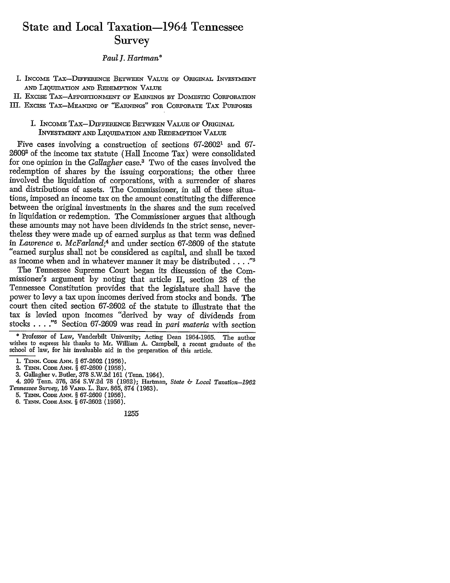## State and Local Taxation-1964 Tennessee Survey

*Paul I. Hartman\**

- I. INCOME TAX-DIFFERENCE BETWEEN VALUE OF ORIGINAL INVESTMENT AND LIQUIDATION **AND** REDEMPTION **VALUE**
- II. EXCISE TAX-APPORTIONMENT OF EARNINGS BY DOMESTIC CORPORATION
- III. EXCISE TAX-MEANING OF "EARNINGS" FOR CORPORATE TAX PURPOSES
	- I. INCOME TAx-DFFERENCE BETWEEN **VALUE OF ORIGINAL** INVESTMENT AND LIQUIDATION AND REDEMPTION VALUE

Five cases involving a construction of sections 67-26021 and 67- 26092 of the income tax statute (Hall Income Tax) were consolidated for one opinion in the *Gallagher* case.3 Two of the cases involved the redemption of shares by the issuing corporations; the other three involved the liquidation of corporations, with a surrender of shares and distributions of assets. The Commissioner, in all of these situations, imposed an income tax on the amount constituting the difference between the original investments in the shares and the sum received in liquidation or redemption. The Commissioner argues that although these amounts may not have been dividends in the strict sense, nevertheless they were made up of earned surplus as that term was defined in *Lawrence v. McFarland;4* and under section 67-2609 of the statute "earned surplus shall not be considered as capital, and shall be taxed as income when and in whatever manner it may be distributed. . **.."5**

The Tennessee Supreme Court began its discussion of the Commissioner's argument by noting that article II, section 28 of the Tennessee Constitution provides that the legislature shall have the power to levy a tax upon incomes derived from stocks and bonds. The court then cited section 67-2602 of the statute to illustrate that the tax is levied upon incomes "derived by way of dividends from stocks . **. . ."6** Section 67-2609 was read in pari *materia* with section

**\*** Professor of Law, Vanderbilt University; Acting Dean 1964-1965. The author wishes to express his thanks to Mr. William A. Campbell, a recent graduate of the school of law, for his invaluable aid in the preparation of this article.

- 2. TENN. CODE **ANN.** § 67-2609 (1956).
- 3. Gallagher v. Butler, 378 S.W.2d 161 (Tenn. 1964).
- 4. 209 Tenn. 376, 354 S.W.2d 78 (1962); Hartman, *State & Local Taxation-1962*
- *Tennessee Survey,* 16 **VAND.** L. REv. 865, 874 (1963).
- 5. TENN. CODE ANN. § 67-2609 (1956).
- 6. **TENN.** CODE ANN. § 67-2602 (1956).

1255

<sup>1.</sup> **TENN. CODE ANN.** § 67-2602 (1956).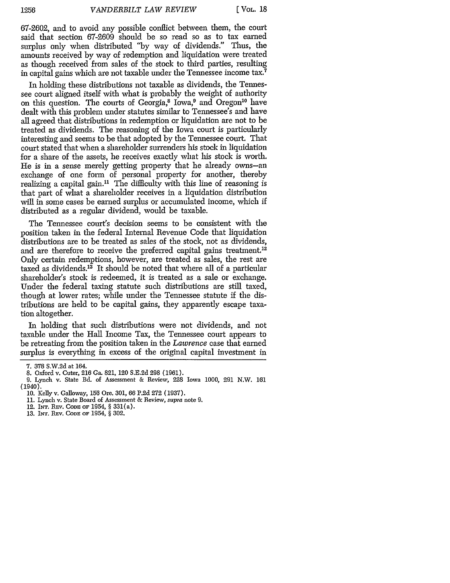67-2602, and to avoid any possible conflict between them, the court said that section 67-2609 should be so read so as to tax earned surplus only when distributed **"by** way of dividends." Thus, the amounts received by way of redemption and liquidation were treated as though received from sales of the stock to third parties, resulting in capital gains which are not taxable under the Tennessee income tax.7

In holding these distributions not taxable as dividends, the Tennessee court aligned itself with what is probably the weight of authority on this question. The courts of Georgia, $\delta$  Iowa, $\delta$  and Oregon<sup>10</sup> have dealt with this problem under statutes similar to Tennessee's and have all agreed that distributions in redemption or liquidation are not to be treated as dividends. The reasoning of the Iowa court is particularly interesting and seems to be that adopted by the Tennessee court. That court stated that when a shareholder surrenders his stock in liquidation for a share of the assets, he receives exactly what his stock is worth. He is in a sense merely getting property that he already owns-an exchange of one form of personal property for another, thereby realizing a capital gain.<sup>11</sup> The difficulty with this line of reasoning is that part of what a shareholder receives in a liquidation distribution will in some cases be earned surplus or accumulated income, which if distributed as a regular dividend, would be taxable.

The Tennessee court's decision seems to be consistent with the position taken in the federal Internal Revenue Code that liquidation distributions are to be treated as sales of the stock, not as dividends, and are therefore to receive the preferred capital gains treatment.<sup>12</sup> Only certain redemptions, however, are treated as sales, the rest are taxed as dividends. $1^3$  It should be noted that where all of a particular shareholder's stock is redeemed, it is treated as a sale or exchange. Under the federal taxing statute such distributions are still taxed, though at lower rates; while under the Tennessee statute **if** the distributions are held to be capital gains, they apparently escape taxation altogether.

In holding that such distributions were not dividends, and not taxable under the Hall Income Tax, the Tennessee court appears to be retreating from the position taken in the *Lawrence* case that earned surplus is everything in excess of the original capital investment in

13. INT. **REV. CODE** OF 1954, § 302.

<sup>7. 378</sup> S.W.2d at 164.

<sup>8.</sup> Oxford v. Cuter, 216 Ga. 821, 120 S.E.2d 298 (1961).

<sup>9.</sup> Lynch v. State Bd. of Assessment & Review, 228 Iowa 1000, 291 N.W. 161 (1940).

**<sup>10.</sup>** Kelly v. Galloway, **156** Ore. 301, 66 **P.2d 272** (1937).

<sup>11.</sup> Lynch v. State Board of Assessment & Review, supra note 9.

<sup>12.</sup> INT. REV. CODE OF 1954, § 331(a).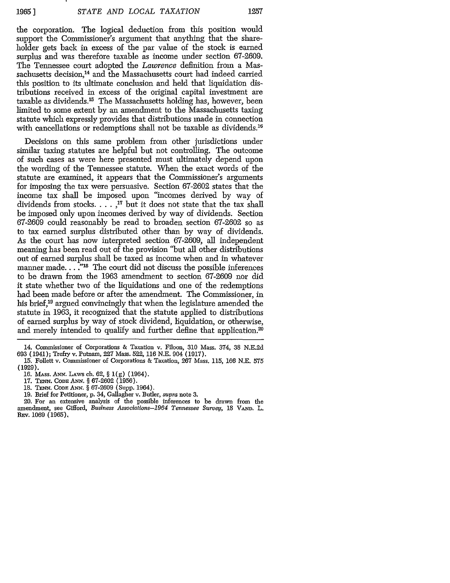the corporation. The logical deduction from this position would support the Commissioner's argument that anything that the shareholder gets back in excess of the par value of the stock is earned surplus and was therefore taxable as income under section 67-2609. The Tennessee court adopted the *Lawrence* definition from a Massachusetts decision,<sup>14</sup> and the Massachusetts court had indeed carried this position to its ultimate conclusion and held that liquidation distributions received in excess of the original capital investment are taxable as dividends.<sup>15</sup> The Massachusetts holding has, however, been limited to some extent by an amendment to the Massachusetts taxing statute which expressly provides that distributions made in connection with cancellations or redemptions shall not be taxable as dividends.<sup>16</sup>

Decisions on this same problem from other jurisdictions under similar taxing statutes are helpful but not controlling. The outcome of such cases as were here presented must ultimately depend upon the wording of the Tennessee statute. When the exact words of the statute are examined, it appears that the Commissioner's arguments for imposing the tax were persuasive. Section 67-2602 states that the income tax shall be imposed upon "incomes derived by way of dividends from stocks. . **.. '7** but it does not state that the tax shall be imposed only upon incomes derived by way of dividends. Section 67-2609 could reasonably be read to broaden section 67-2602 so as to tax earned surplus distributed other than by way of dividends. As the court has now interpreted section 67-2609, all independent meaning has been read out of the provision "but all other distributions out of earned surplus shall be taxed as income when and in whatever manner made.  $\ldots$ <sup>718</sup> The court did not discuss the possible inferences to be drawn from the 1963 amendment to section 67-2609 nor did it state whether two of the liquidations and one of the redemptions had been made before or after the amendment. The Commissioner, in his brief,<sup>19</sup> argued convincingly that when the legislature amended the statute in 1963, it recognized that the statute applied to distributions of earned surplus by way of stock dividend, liquidation, or otherwise, and merely intended to qualify and further define that application.<sup>20</sup>

- 18. **TENN. CODE ANN.** § 67-2609 (Supp. 1964).
- 19. Brief for Petitioner, p. 34, Gallagher v. Butler, *supra* note **3.**

<sup>14.</sup> Commissioner of Corporations & Taxation v. Filoon, **310** Mass. 374, 38 N.E.2d 693 (1941); Trefry v. Putnam, **227** Mass. 522, 116 N.E. 904 (1917).

**<sup>15.</sup>** Follett v. Commissioner of Corporations & Taxation, **267** Mass. 115, **166** N.E. 575 (1929).

<sup>16.</sup> MAss. *ANN.* LAws ch. **62,** § 1(g) (1964).

**<sup>17.</sup> TENN.** CODE **ANN.** § **67-2602** (1956).

<sup>20.</sup> For an extensive analysis of the possible inferences to be drawn from the amendment, see Gifford, *Business Associations-1964 Tennessee Survey,* 18 **VAND.** L. REv. 1069 **(1965),**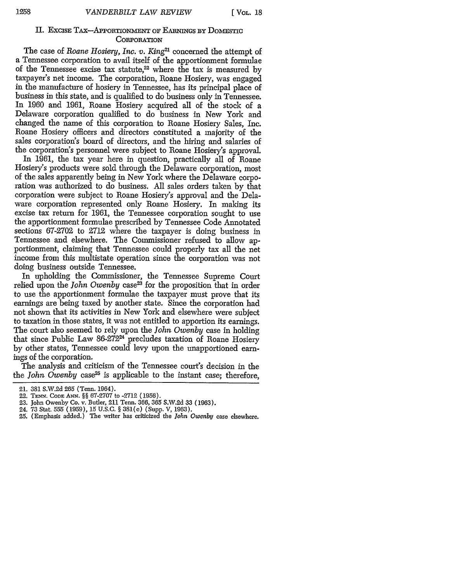#### II. EXCISE TAX-APPORTIONMENT OF EARNINGS BY DOMESTIC **CORPORATION**

The case of *Roane Hosiery, Inc. v. King2'* concerned the attempt of a Tennessee corporation to avail itself of the apportionment formulae of the Tennessee excise tax statute,<sup>22</sup> where the tax is measured by taxpayer's net income. The corporation, Roane Hosiery, was engaged in the manufacture of hosiery in Tennessee, has its principal place of business in this state, and is qualified to do business only in Tennessee. In 1960 and **1961,** Roane Hosiery acquired all of the stock of a Delaware corporation qualified to do business in New York and changed the name of this corporation to Roane Hosiery Sales, Inc. Roane Hosiery officers and directors constituted a majority of the sales corporation's board of directors, and the hiring and salaries of the corporation's personnel were subject to Roane Hosiery's approval.

In **1961,** the tax year here in question, practically all of Roane Hosiery's products were sold through the Delaware corporation, most of the sales apparently being in New York where the Delaware corporation was authorized to do business. All sales orders taken by that corporation were subject to Roane Hosiery's approval and the Delaware corporation represented only Roane Hosiery. In making its excise tax return for **1961,** the Tennessee corporation sought to use the apportionment formulae prescribed by Tennessee Code Annotated sections 67-2702 to 2712 where the taxpayer is doing business in Tennessee and elsewhere. The Commissioner refused to allow apportionment, claiming that Tennessee could properly tax all the net income from this multistate operation since the corporation was not doing business outside Tennessee.

In upholding the Commissioner, the Tennessee Supreme Court relied upon the *John Owenby* case<sup>23</sup> for the proposition that in order to use the apportionment formulae the taxpayer must prove that its earnings are being taxed by another state. Since the corporation had not shown that its activities in New York and elsewhere were subject to taxation in those states, it was not entitled to apportion its earnings. The court also seemed to rely upon the *John Owenby* case in holding that since Public Law 86-272<sup>24</sup> precludes taxation of Roane Hosiery by other states, Tennessee could levy upon the unapportioned earnings of the corporation.

The analysis and criticism of the Tennessee court's decision in the the *John Owenby* case<sup>25</sup> is applicable to the instant case; therefore,

<sup>21. 381</sup> S.W.2d 265 (Tenn. 1964).

<sup>22.</sup> TENN. **CODE ANN'.** §§ 67-2707 to -2712 (1956).

<sup>23.</sup> John Owenby Co. v. Butler, 211 Tenn. 366, **365** S.W.2d **33** (1963).

<sup>24.</sup> **73** Stat. 555 (1959), **15** U.S.C. § **381(c)** (Supp. V, 1963).

<sup>25. (</sup>Emphasis added.) The writer has criticized the *John Owenby* case elsewhere.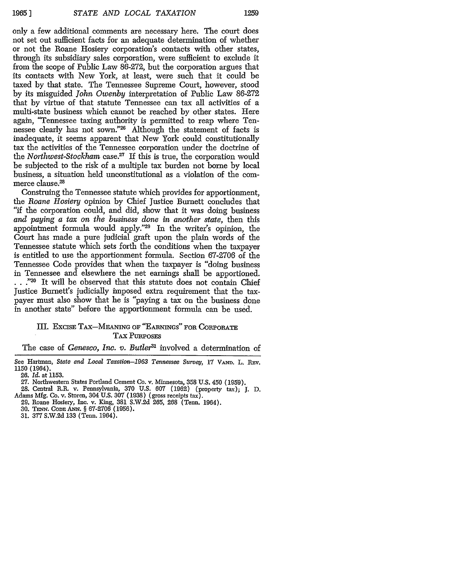only a few additional comments are necessary here. The court does not set out sufficient facts for an adequate determination of whether or not the Roane Hosiery corporation's contacts with other states, through its subsidiary sales corporation, were sufficient to exclude it from the scope of Public Law 86-272, but the corporation argues that its contacts with New York, at least, were such that it could be taxed by that state. The Tennessee Supreme Court, however, stood by its misguided *John Owenby* interpretation of Public Law 86-272 that by virtue of that statute Tennessee can tax all activities of a multi-state business which cannot be reached by other states. Here again, "Tennessee taxing authority is permitted to reap where Tennessee clearly has not sown."26 Although the statement of facts is inadequate, it seems apparent that New York could constitutionally tax the activities of the Tennessee corporation under the doctrine of *the Northwest-Stockham* case.27 If this is true, the corporation would be subjected to the risk of a multiple tax burden not borne by local business, a situation held unconstitutional as a violation of the commerce clause.<sup>28</sup>

Construing the Tennessee statute which provides for apportionment, the *Roane Hosiery* opinion by Chief Justice Burnett concludes that "if the corporation could, and did, show that it was doing business *and paying a tax on the business done in another state,* then this appointment formula would apply."29 In the writer's opinion, the Court has made a pure judicial graft upon the plain words of the Tennessee statute which sets forth the conditions when the taxpayer is entitled to use the apportionment formula. Section 67-2706 of the Tennessee Code provides that when the taxpayer is "doing business in Tennessee and elsewhere the net earnings shall be apportioned. ..."30 It will be observed that this statute does not contain Chief Justice Burnett's judicially imposed extra requirement that the taxpayer must also show that he is "paying a tax on the business done in another state" before the apportionment formula can be used.

### III. ExcisE TAx-MEANING OF "EARNINGs" FOR CoRPoRATE TAx PURPOSES

The case of *Genesco, Inc. v. Butler*<sup>31</sup> involved a determination of

See Hartman, *State and Local Taxation-1963 Tennessee Survey,* 17 **VAND.** L. REv. 1150 (1964).

26. *Id.* at 1153.

- **28.** Central R.R. v. Pennsylvania, 370 U.S. 607 (1962) (property tax); J. D. Adams Mfg. Co. v. Storen, 304 U.S. 307 (1938) (gross receipts tax).
	- 29. Roane Hosiery, Inc. v. King, 381 S.W.2d 265, 268 (Tenn. 1964).
	- **30. TENN. CODE ANN.** § 67-2706 (1956).
	- **31.** 377 S.W.2d **133** (Tenn. 1964).

<sup>27.</sup> Northwestern States Portland Cement Co. v. Minnesota, 358 U.S. 450 (1959).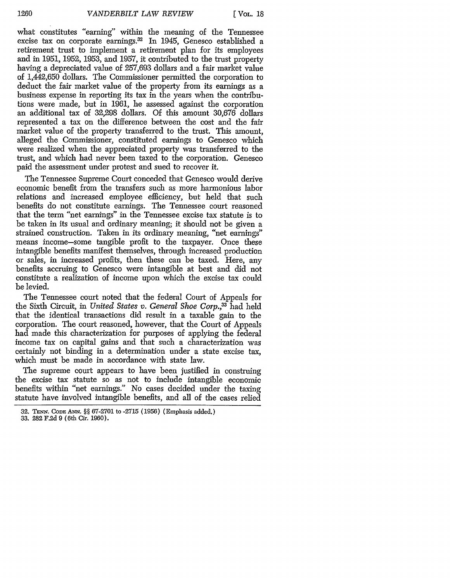what constitutes "earning" within the meaning of the Tennessee excise tax on corporate earnings.<sup>32</sup> In 1945, Genesco established a retirement trust to implement a retirement plan for its employees and in 1951, 1952, 1953, and 1957, it contributed to the trust property having a depreciated value of 257,693 dollars and a fair market value of 1,442,650 dollars. The Commissioner permitted the corporation to deduct the fair market value of the property from its earnings as a business expense in reporting its tax in the years when the contributions were made, but in 1961, he assessed against the corporation an additional tax of 32,298 dollars. Of this amount 30,676 dollars represented a tax on the difference between the cost and the fair market value of the property transferred to the trust. This amount, alleged the Commissioner, constituted earnings to Genesco which were realized when the appreciated property was transferred to the trust, and which had never been taxed to the corporation. Genesco paid the assessment under protest and sued to recover it.

The Tennessee Supreme Court conceded that Genesco would derive economic benefit from the transfers such as more harmonious labor relations and increased employee efficiency, but held that such benefits do not constitute earnings. The Tennessee court reasoned that the term "net earnings" in the Tennessee excise tax statute is to be taken in its usual and ordinary meaning; it should not be given a strained construction. Taken in its ordinary meaning, "net earnings" means income-some tangible profit to the taxpayer. Once these intangible benefits manifest themselves, through increased production or sales, in increased profits, then these can be taxed. Here, any benefits accruing to Genesco were intangible at best and did not constitute a realization of income upon which the excise tax could be levied.

The Tennessee court noted that the federal Court of Appeals for the Sixth Circuit, in *United States v. General Shoe Corp.*<sup>33</sup> had held that the identical transactions did result in a taxable gain to the corporation. The court reasoned, however, that the Court of Appeals had made this characterization for purposes of applying the federal income tax on capital gains and that such a characterization was certainly not binding in a determination under a state excise tax, which must be made in accordance with state law.

The supreme court appears to have been justified in construing the excise tax statute so as not to include intangible economic benefits within "net earnings." No cases decided under the taxing statute have involved intangible benefits, and all of the cases relied

**<sup>32.</sup> TENN.** CoDE **Ai'm.** §§ **67-2701** to **-2715 (1956)** (Emphasis added.)

**<sup>33. 282</sup> F.2d 9** (6th Cir. **1960).**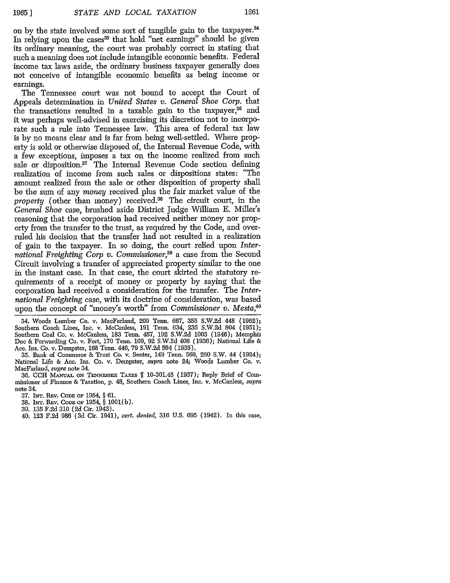on by the state involved some sort of tangible gain to the taxpayer.<sup>34</sup> In relying upon the cases<sup>35</sup> that hold "net earnings" should be given its ordinary meaning, the court was probably correct in stating that such a meaning does not include intangible economic benefits. Federal income tax laws aside, the ordinary business taxpayer generally does not conceive of intangible economic benefits as being income or earnings.

The Tennessee court was not bound to accept the Court of Appeals determination in *United States v. General Shoe Corp.* that the transactions resulted in a taxable gain to the taxpayer,<sup>36</sup> and it was perhaps well-advised in exercising its discretion not to incorporate such a rule into Tennessee law. This area of federal tax law is by no means clear and is far from being well-settled. Where property is sold or otherwise disposed of, the Internal Revenue Code, with a few exceptions, imposes a tax on the income realized from such sale or disposition.<sup>37</sup> The Internal Revenue Code section defining realization of income from such sales or dispositions states: "The amount realized from the sale or other disposition of property shall be the sum of any *money* received plus the fair market value of the property (other than money) received.<sup>38</sup> The circuit court, in the *General Shoe* case, brushed aside District Judge William E. Miller's reasoning that the corporation had received neither money nor property from the transfer to the trust, as required by the Code, and overruled his decision that the transfer had not resulted in a realization of gain to the taxpayer. In so doing, the court relied upon *International Freighting Corp v. Commissioner,39* a case from the Second Circuit involving a transfer of appreciated property similar to the one in the instant case. In that case, the court skirted the statutory requirements of a receipt of money or property by saying that the corporation had received a consideration for the transfer. The *International Freighting* case, with its doctrine of consideration, was based upon the concept of "money's worth" from *Commissioner v. Mesta,40*

34. Woods Lumber Co. v. MacFarland, 209 Tenn. 667, 355 S.W.2d 448 (1962); Southern Coach Lines, Inc. v. McCanless, 191 Tenn. 634, 235 S.W.2d 804 (1951); Southern Coal Co. v. McCanless, 183 Tenn. 457, 192 S.W.2d 1003 (1946); Memphis Doe & Forwarding Co. v. Fort, 170 Tenn. 109, 92 S.W.2d 408 (1936); National Life & Acc. Ins. Co. v. Dempster, 168 Tenn. 446, 79 S.W.2d 564 (1935).

35. Bank of Commerce & Trust Co. v. Senter, 149 Tenn. 569, 260 S.W. 44 (1924); National Life & Ace. Ins. Co. v. Dempster, *supra* note 24; Woods Lumber Co. v. MacFarland, *supra* note 34.

36. CCH MANUAL ON TENNESSEE TAXES | 10-301.45 (1937); Reply Brief of Commissioner of Finance & Taxation, p. 48, Southern Coach Lines, Inc. v. McCanless, *supra* note 34.

37. INT. REv. **CODE OF** 1954, § 61.

38. INT. REV. CODE OF 1954, § 1001(b).

39. 135 F.2d **310** (2d Cir. 1943).

40. 123 F.2d 986 (3d Cir. 1941), *cert. denied,* 316 U.S. 695 (1942). In this case,